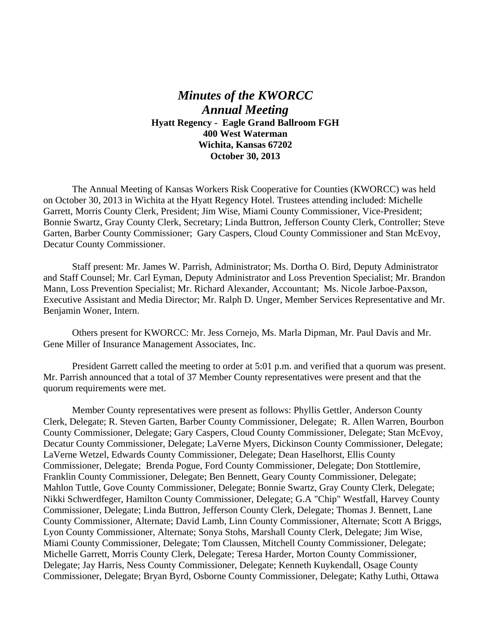## *Minutes of the KWORCC Annual Meeting* **Hyatt Regency - Eagle Grand Ballroom FGH 400 West Waterman Wichita, Kansas 67202 October 30, 2013**

The Annual Meeting of Kansas Workers Risk Cooperative for Counties (KWORCC) was held on October 30, 2013 in Wichita at the Hyatt Regency Hotel. Trustees attending included: Michelle Garrett, Morris County Clerk, President; Jim Wise, Miami County Commissioner, Vice-President; Bonnie Swartz, Gray County Clerk, Secretary; Linda Buttron, Jefferson County Clerk, Controller; Steve Garten, Barber County Commissioner; Gary Caspers, Cloud County Commissioner and Stan McEvoy, Decatur County Commissioner.

 Staff present: Mr. James W. Parrish, Administrator; Ms. Dortha O. Bird, Deputy Administrator and Staff Counsel; Mr. Carl Eyman, Deputy Administrator and Loss Prevention Specialist; Mr. Brandon Mann, Loss Prevention Specialist; Mr. Richard Alexander, Accountant; Ms. Nicole Jarboe-Paxson, Executive Assistant and Media Director; Mr. Ralph D. Unger, Member Services Representative and Mr. Benjamin Woner, Intern.

 Others present for KWORCC: Mr. Jess Cornejo, Ms. Marla Dipman, Mr. Paul Davis and Mr. Gene Miller of Insurance Management Associates, Inc.

 President Garrett called the meeting to order at 5:01 p.m. and verified that a quorum was present. Mr. Parrish announced that a total of 37 Member County representatives were present and that the quorum requirements were met.

 Member County representatives were present as follows: Phyllis Gettler, Anderson County Clerk, Delegate; R. Steven Garten, Barber County Commissioner, Delegate; R. Allen Warren, Bourbon County Commissioner, Delegate; Gary Caspers, Cloud County Commissioner, Delegate; Stan McEvoy, Decatur County Commissioner, Delegate; LaVerne Myers, Dickinson County Commissioner, Delegate; LaVerne Wetzel, Edwards County Commissioner, Delegate; Dean Haselhorst, Ellis County Commissioner, Delegate; Brenda Pogue, Ford County Commissioner, Delegate; Don Stottlemire, Franklin County Commissioner, Delegate; Ben Bennett, Geary County Commissioner, Delegate; Mahlon Tuttle, Gove County Commissioner, Delegate; Bonnie Swartz, Gray County Clerk, Delegate; Nikki Schwerdfeger, Hamilton County Commissioner, Delegate; G.A "Chip" Westfall, Harvey County Commissioner, Delegate; Linda Buttron, Jefferson County Clerk, Delegate; Thomas J. Bennett, Lane County Commissioner, Alternate; David Lamb, Linn County Commissioner, Alternate; Scott A Briggs, Lyon County Commissioner, Alternate; Sonya Stohs, Marshall County Clerk, Delegate; Jim Wise, Miami County Commissioner, Delegate; Tom Claussen, Mitchell County Commissioner, Delegate; Michelle Garrett, Morris County Clerk, Delegate; Teresa Harder, Morton County Commissioner, Delegate; Jay Harris, Ness County Commissioner, Delegate; Kenneth Kuykendall, Osage County Commissioner, Delegate; Bryan Byrd, Osborne County Commissioner, Delegate; Kathy Luthi, Ottawa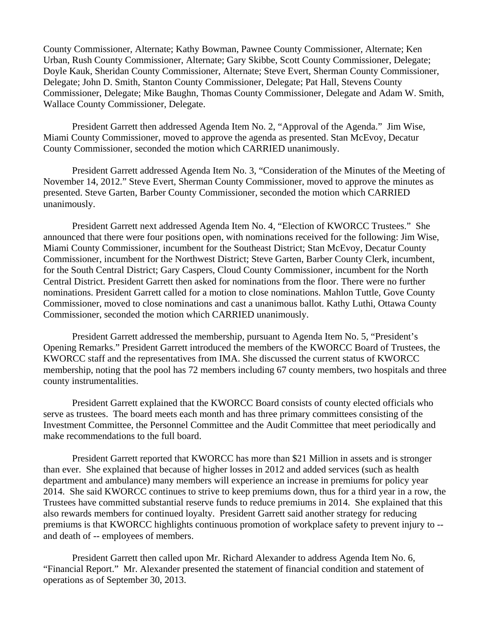County Commissioner, Alternate; Kathy Bowman, Pawnee County Commissioner, Alternate; Ken Urban, Rush County Commissioner, Alternate; Gary Skibbe, Scott County Commissioner, Delegate; Doyle Kauk, Sheridan County Commissioner, Alternate; Steve Evert, Sherman County Commissioner, Delegate; John D. Smith, Stanton County Commissioner, Delegate; Pat Hall, Stevens County Commissioner, Delegate; Mike Baughn, Thomas County Commissioner, Delegate and Adam W. Smith, Wallace County Commissioner, Delegate.

 President Garrett then addressed Agenda Item No. 2, "Approval of the Agenda." Jim Wise, Miami County Commissioner, moved to approve the agenda as presented. Stan McEvoy, Decatur County Commissioner, seconded the motion which CARRIED unanimously.

 President Garrett addressed Agenda Item No. 3, "Consideration of the Minutes of the Meeting of November 14, 2012." Steve Evert, Sherman County Commissioner, moved to approve the minutes as presented. Steve Garten, Barber County Commissioner, seconded the motion which CARRIED unanimously.

 President Garrett next addressed Agenda Item No. 4, "Election of KWORCC Trustees." She announced that there were four positions open, with nominations received for the following: Jim Wise, Miami County Commissioner, incumbent for the Southeast District; Stan McEvoy, Decatur County Commissioner, incumbent for the Northwest District; Steve Garten, Barber County Clerk, incumbent, for the South Central District; Gary Caspers, Cloud County Commissioner, incumbent for the North Central District. President Garrett then asked for nominations from the floor. There were no further nominations. President Garrett called for a motion to close nominations. Mahlon Tuttle, Gove County Commissioner, moved to close nominations and cast a unanimous ballot. Kathy Luthi, Ottawa County Commissioner, seconded the motion which CARRIED unanimously.

 President Garrett addressed the membership, pursuant to Agenda Item No. 5, "President's Opening Remarks." President Garrett introduced the members of the KWORCC Board of Trustees, the KWORCC staff and the representatives from IMA. She discussed the current status of KWORCC membership, noting that the pool has 72 members including 67 county members, two hospitals and three county instrumentalities.

 President Garrett explained that the KWORCC Board consists of county elected officials who serve as trustees. The board meets each month and has three primary committees consisting of the Investment Committee, the Personnel Committee and the Audit Committee that meet periodically and make recommendations to the full board.

President Garrett reported that KWORCC has more than \$21 Million in assets and is stronger than ever. She explained that because of higher losses in 2012 and added services (such as health department and ambulance) many members will experience an increase in premiums for policy year 2014. She said KWORCC continues to strive to keep premiums down, thus for a third year in a row, the Trustees have committed substantial reserve funds to reduce premiums in 2014. She explained that this also rewards members for continued loyalty. President Garrett said another strategy for reducing premiums is that KWORCC highlights continuous promotion of workplace safety to prevent injury to - and death of -- employees of members.

 President Garrett then called upon Mr. Richard Alexander to address Agenda Item No. 6, "Financial Report." Mr. Alexander presented the statement of financial condition and statement of operations as of September 30, 2013.